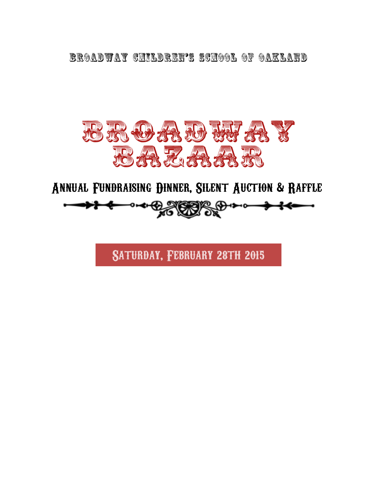**BROADWAY CHILDREN'S SCHOOL OF OAKLAND** 



Annual Fundraising Dinner, Silent Auction & Raffle **◦-**◆←<del>©</del>∠◎◎◎◎◎ ◎●→

Saturday, February 28th 2015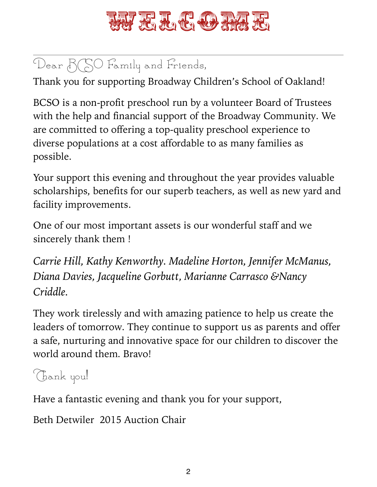

# Dear  $B(SO$  Family and Friends,

Thank you for supporting Broadway Children's School of Oakland!

BCSO is a non-profit preschool run by a volunteer Board of Trustees with the help and financial support of the Broadway Community. We are committed to offering a top-quality preschool experience to diverse populations at a cost affordable to as many families as possible.

Your support this evening and throughout the year provides valuable scholarships, benefits for our superb teachers, as well as new yard and facility improvements.

One of our most important assets is our wonderful staff and we sincerely thank them !

*Carrie Hill, Kathy Kenworthy. Madeline Horton, Jennifer McManus, Diana Davies, Jacqueline Gorbutt, Marianne Carrasco &Nancy Criddle.*

They work tirelessly and with amazing patience to help us create the leaders of tomorrow. They continue to support us as parents and offer a safe, nurturing and innovative space for our children to discover the world around them. Bravo!

# Thank you!

Have a fantastic evening and thank you for your support,

Beth Detwiler 2015 Auction Chair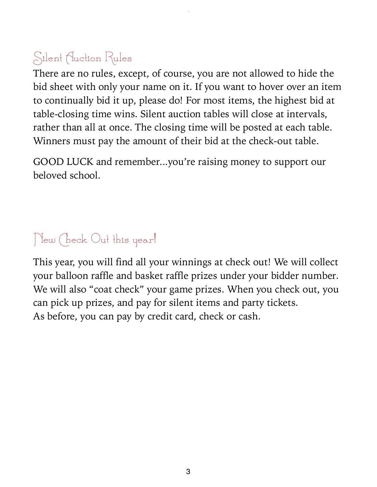# Silent Auction Rules

There are no rules, except, of course, you are not allowed to hide the bid sheet with only your name on it. If you want to hover over an item to continually bid it up, please do! For most items, the highest bid at table-closing time wins. Silent auction tables will close at intervals, rather than all at once. The closing time will be posted at each table. Winners must pay the amount of their bid at the check-out table.

GOOD LUCK and remember...you're raising money to support our beloved school.

# New Check Out this year!

This year, you will find all your winnings at check out! We will collect your balloon raffle and basket raffle prizes under your bidder number. We will also "coat check" your game prizes. When you check out, you can pick up prizes, and pay for silent items and party tickets. As before, you can pay by credit card, check or cash.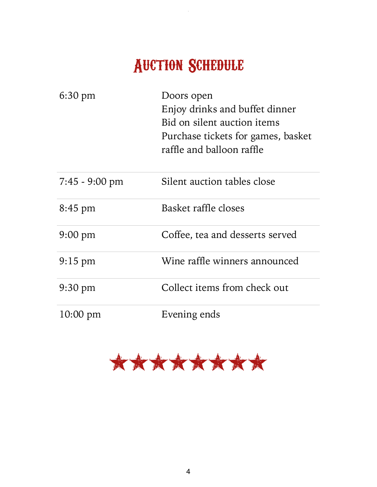# Auction Schedule

 $\bar{z}$ 

| 6:30 pm                  | Doors open<br>Enjoy drinks and buffet dinner<br>Bid on silent auction items<br>Purchase tickets for games, basket<br>raffle and balloon raffle |
|--------------------------|------------------------------------------------------------------------------------------------------------------------------------------------|
| $7:45 - 9:00 \text{ pm}$ | Silent auction tables close                                                                                                                    |
| 8:45 pm                  | Basket raffle closes                                                                                                                           |
| $9:00 \text{ pm}$        | Coffee, tea and desserts served                                                                                                                |
| $9:15$ pm                | Wine raffle winners announced                                                                                                                  |
| $9:30 \text{ pm}$        | Collect items from check out                                                                                                                   |
| $10:00 \text{ pm}$       | Evening ends                                                                                                                                   |

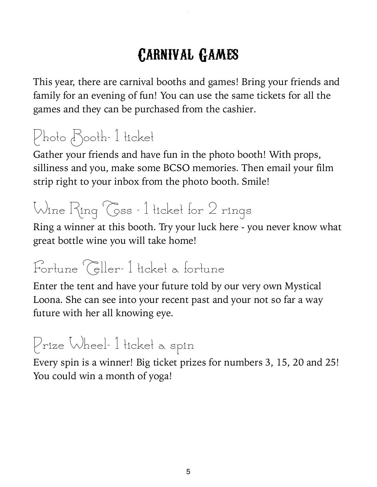# Carnival Games

This year, there are carnival booths and games! Bring your friends and family for an evening of fun! You can use the same tickets for all the games and they can be purchased from the cashier.

# Photo Booth- 1 ticket

Gather your friends and have fun in the photo booth! With props, silliness and you, make some BCSO memories. Then email your film strip right to your inbox from the photo booth. Smile!

# Wine Ring Coss - 1 ticket for 2 rings

Ring a winner at this booth. Try your luck here - you never know what great bottle wine you will take home!

# Fortune Celler- 1 ticket a fortune

Enter the tent and have your future told by our very own Mystical Loona. She can see into your recent past and your not so far a way future with her all knowing eye.

# Prize Wheel- 1 ticket a spin

Every spin is a winner! Big ticket prizes for numbers 3, 15, 20 and 25! You could win a month of yoga!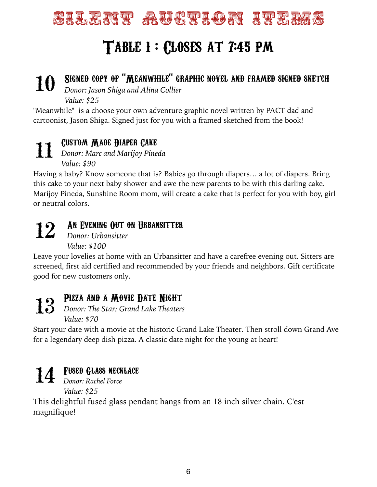

### SIGNED COPY OF "MEANWHILE" GRAPHIC NOVEL AND FRAMED SIGNED SKETCH **10**

*Donor: Jason Shiga and Alina Collier* 

*Value: \$25* 

"Meanwhile" is a choose your own adventure graphic novel written by PACT dad and cartoonist, Jason Shiga. Signed just for you with a framed sketched from the book!

#### Custom Made Diaper Cake *Donor: Marc and Marijoy Pineda* **11**

*Value: \$90* 

Having a baby? Know someone that is? Babies go through diapers… a lot of diapers. Bring this cake to your next baby shower and awe the new parents to be with this darling cake. Marijoy Pineda, Sunshine Room mom, will create a cake that is perfect for you with boy, girl or neutral colors.

# **12**

### An Evening Out on Urbansitter

*Donor: Urbansitter Value: \$100* 

Leave your lovelies at home with an Urbansitter and have a carefree evening out. Sitters are screened, first aid certified and recommended by your friends and neighbors. Gift certificate good for new customers only.

**13**

### PIZZA AND A MOVIE DATE NIGHT

*Donor: The Star; Grand Lake Theaters Value: \$70* 

Start your date with a movie at the historic Grand Lake Theater. Then stroll down Grand Ave for a legendary deep dish pizza. A classic date night for the young at heart!

### Fused Glass necklace

*Donor: Rachel Force*  **14** *Value: \$25* 

This delightful fused glass pendant hangs from an 18 inch silver chain. C'est magnifique!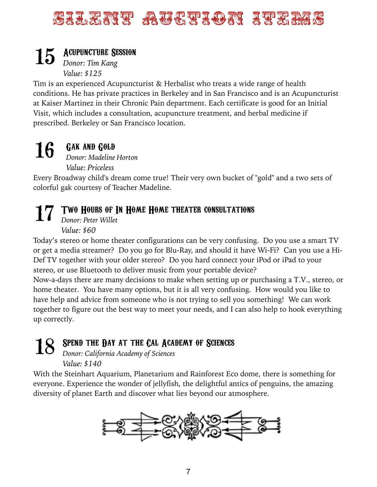## Silent Auction Items

### 15 Acupuncture Session *Donor: Tim Kang*

*Value: \$125* 

Tim is an experienced Acupuncturist & Herbalist who treats a wide range of health conditions. He has private practices in Berkeley and in San Francisco and is an Acupuncturist at Kaiser Martinez in their Chronic Pain department. Each certificate is good for an Initial Visit, which includes a consultation, acupuncture treatment, and herbal medicine if prescribed. Berkeley or San Francisco location.

#### Gak and Gold *Donor: Madeline Horton* **16**

*Value: Priceless* 

Every Broadway child's dream come true! Their very own bucket of "gold" and a two sets of colorful gak courtesy of Teacher Madeline.

### Two Hours of In Home Home theater consultations **17**

*Donor: Peter Willet Value: \$60* 

Today's stereo or home theater configurations can be very confusing. Do you use a smart TV or get a media streamer? Do you go for Blu-Ray, and should it have Wi-Fi? Can you use a Hi-Def TV together with your older stereo? Do you hard connect your iPod or iPad to your stereo, or use Bluetooth to deliver music from your portable device?

Now-a-days there are many decisions to make when setting up or purchasing a T.V., stereo, or home theater. You have many options, but it is all very confusing. How would you like to have help and advice from someone who is not trying to sell you something! We can work together to figure out the best way to meet your needs, and I can also help to hook everything up correctly.

#### SPEND THE DAY AT THE CAL ACADEMY OF SCIENCES **18**

*Donor: California Academy of Sciences Value: \$140*

With the Steinhart Aquarium, Planetarium and Rainforest Eco dome, there is something for everyone. Experience the wonder of jellyfish, the delightful antics of penguins, the amazing diversity of planet Earth and discover what lies beyond our atmosphere.

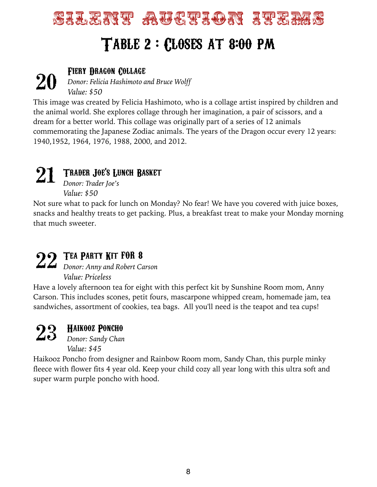

### Fiery Dragon Collage

*Donor: Felicia Hashimoto and Bruce Wolff Value: \$50* **20** 

This image was created by Felicia Hashimoto, who is a collage artist inspired by children and the animal world. She explores collage through her imagination, a pair of scissors, and a dream for a better world. This collage was originally part of a series of 12 animals commemorating the Japanese Zodiac animals. The years of the Dragon occur every 12 years: 1940,1952, 1964, 1976, 1988, 2000, and 2012.

#### Trader Joe's Lunch Basket **21**

*Donor: Trader Joe's Value: \$50*

Not sure what to pack for lunch on Monday? No fear! We have you covered with juice boxes, snacks and healthy treats to get packing. Plus, a breakfast treat to make your Monday morning that much sweeter.

### Tea Party Kit for 8

22 *Donor: Anny and Robert Carson Value: Priceless* 

Have a lovely afternoon tea for eight with this perfect kit by Sunshine Room mom, Anny Carson. This includes scones, petit fours, mascarpone whipped cream, homemade jam, tea sandwiches, assortment of cookies, tea bags. All you'll need is the teapot and tea cups!

#### Haikooz Poncho **23**

*Donor: Sandy Chan Value: \$45* 

Haikooz Poncho from designer and Rainbow Room mom, Sandy Chan, this purple minky fleece with flower fits 4 year old. Keep your child cozy all year long with this ultra soft and super warm purple poncho with hood.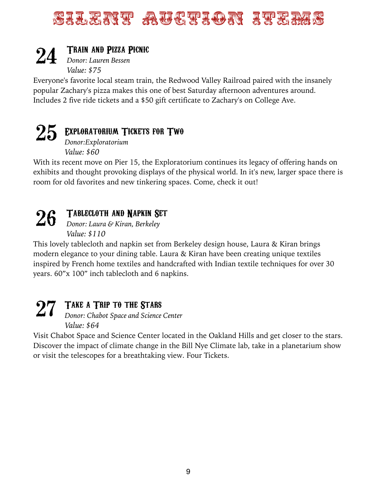

#### Train and Pizza Picnic **24**

*Donor: Lauren Bessen Value: \$75* 

Everyone's favorite local steam train, the Redwood Valley Railroad paired with the insanely popular Zachary's pizza makes this one of best Saturday afternoon adventures around. Includes 2 five ride tickets and a \$50 gift certificate to Zachary's on College Ave.

# 25 EXPLORATORIUM TICKETS FOR TWO

*Donor:Exploratorium Value: \$60* 

With its recent move on Pier 15, the Exploratorium continues its legacy of offering hands on exhibits and thought provoking displays of the physical world. In it's new, larger space there is room for old favorites and new tinkering spaces. Come, check it out!

#### Tablecloth and Napkin Set **26**

*Donor: Laura & Kiran, Berkeley Value: \$110* 

This lovely tablecloth and napkin set from Berkeley design house, Laura & Kiran brings modern elegance to your dining table. Laura & Kiran have been creating unique textiles inspired by French home textiles and handcrafted with Indian textile techniques for over 30 years. 60"x 100" inch tablecloth and 6 napkins.

### TAKE A TRIP TO THE STARS **27**

*Donor: Chabot Space and Science Center Value: \$64* 

Visit Chabot Space and Science Center located in the Oakland Hills and get closer to the stars. Discover the impact of climate change in the Bill Nye Climate lab, take in a planetarium show or visit the telescopes for a breathtaking view. Four Tickets.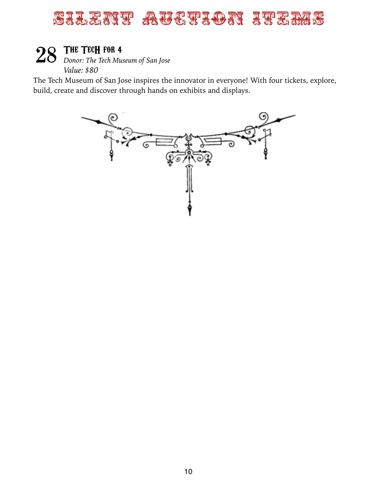### SILENT AUCHAON ITEMS

### The TecH for 4

28 **THE TECH FOR 4**<br> *Donor: The Tech Museum of San Jose Value: \$80* 

The Tech Museum of San Jose inspires the innovator in everyone! With four tickets, explore, build, create and discover through hands on exhibits and displays.

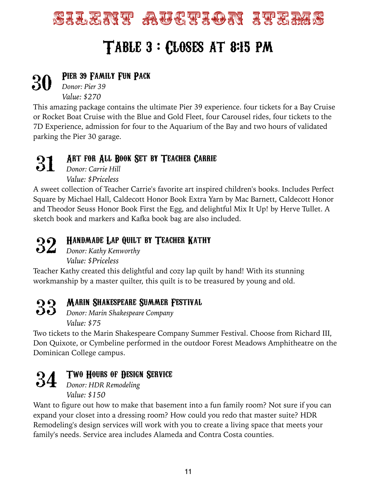

# Table 3 : Closes at 8:15 pm

#### Pier 39 Family Fun Pack **30**

*Donor: Pier 39 Value: \$270* 

This amazing package contains the ultimate Pier 39 experience. four tickets for a Bay Cruise or Rocket Boat Cruise with the Blue and Gold Fleet, four Carousel rides, four tickets to the 7D Experience, admission for four to the Aquarium of the Bay and two hours of validated parking the Pier 30 garage.

#### Art for All Book Set by Teacher Carrie **31**

*Donor: Carrie Hill Value: \$Priceless* 

A sweet collection of Teacher Carrie's favorite art inspired children's books. Includes Perfect Square by Michael Hall, Caldecott Honor Book Extra Yarn by Mac Barnett, Caldecott Honor and Theodor Seuss Honor Book First the Egg, and delightful Mix It Up! by Herve Tullet. A sketch book and markers and Kafka book bag are also included.

### Handmade Lap Quilt by Teacher Kathy

*Donor: Kathy Kenworthy*  **32**  *Value: \$Priceless* 

Teacher Kathy created this delightful and cozy lap quilt by hand! With its stunning workmanship by a master quilter, this quilt is to be treasured by young and old.

### Marin Shakespeare Summer Festival

**33 MARIN SHAKESPEARE SUMMER F**<br> **33** Donor: Marin Shakespeare Company *Value: \$75* 

Two tickets to the Marin Shakespeare Company Summer Festival. Choose from Richard III, Don Quixote, or Cymbeline performed in the outdoor Forest Meadows Amphitheatre on the Dominican College campus.



### Two Hours of Design Service

*Donor: HDR Remodeling Value: \$150* 

Want to figure out how to make that basement into a fun family room? Not sure if you can expand your closet into a dressing room? How could you redo that master suite? HDR Remodeling's design services will work with you to create a living space that meets your family's needs. Service area includes Alameda and Contra Costa counties.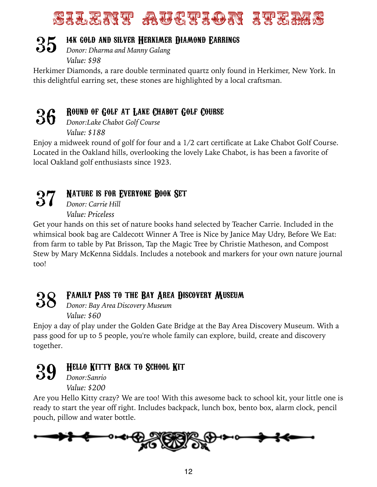# SILENT AUCHAM ITE

#### 14k gold and silver Herkimer Diamond Earrings **35**

*Donor: Dharma and Manny Galang Value: \$98* 

Herkimer Diamonds, a rare double terminated quartz only found in Herkimer, New York. In this delightful earring set, these stones are highlighted by a local craftsman.

#### Round of Golf at Lake Chabot Golf Course **36**

*Donor:Lake Chabot Golf Course Value: \$188* 

Enjoy a midweek round of golf for four and a 1/2 cart certificate at Lake Chabot Golf Course. Located in the Oakland hills, overlooking the lovely Lake Chabot, is has been a favorite of local Oakland golf enthusiasts since 1923.



### NATURE IS FOR EVERYONE ROOK SET

*Donor: Carrie Hill Value: Priceless* 

Get your hands on this set of nature books hand selected by Teacher Carrie. Included in the whimsical book bag are Caldecott Winner A Tree is Nice by Janice May Udry, Before We Eat: from farm to table by Pat Brisson, Tap the Magic Tree by Christie Matheson, and Compost Stew by Mary McKenna Siddals. Includes a notebook and markers for your own nature journal too!

#### Family Pass to the Bay Area Discovery Museum **38**

*Donor: Bay Area Discovery Museum Value: \$60*

Enjoy a day of play under the Golden Gate Bridge at the Bay Area Discovery Museum. With a pass good for up to 5 people, you're whole family can explore, build, create and discovery together.



### Hello Kitty Back to School Kit

*Donor:Sanrio Value: \$200* 

Are you Hello Kitty crazy? We are too! With this awesome back to school kit, your little one is ready to start the year off right. Includes backpack, lunch box, bento box, alarm clock, pencil pouch, pillow and water bottle.

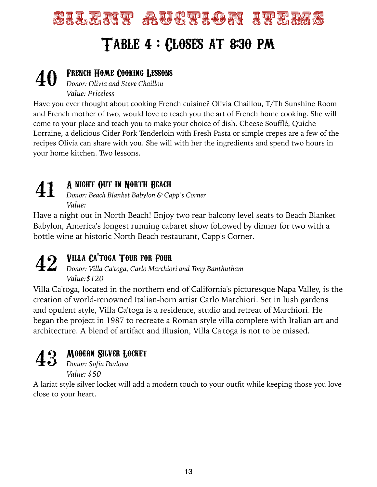# SILENT AUCHAON ITERAS TABLE 4 : CLOSES AT 8:30 PM

#### **40** FRENCH HOME COOKING LESSONS<br>Donor: Olivia and Steve Chaillou *Donor: Olivia and Steve Chaillou Value: Priceless*

Have you ever thought about cooking French cuisine? Olivia Chaillou, T/Th Sunshine Room and French mother of two, would love to teach you the art of French home cooking. She will come to your place and teach you to make your choice of dish. Cheese Soufflé, Quiche Lorraine, a delicious Cider Pork Tenderloin with Fresh Pasta or simple crepes are a few of the recipes Olivia can share with you. She will with her the ingredients and spend two hours in your home kitchen. Two lessons.

#### A night Out in North Beach **41**

*Donor: Beach Blanket Babylon & Capp's Corner Value:* 

Have a night out in North Beach! Enjoy two rear balcony level seats to Beach Blanket Babylon, America's longest running cabaret show followed by dinner for two with a bottle wine at historic North Beach restaurant, Capp's Corner.

**42** VILLA CA'TOGA TOUR FOR FOUR<br>Donor: Villa Ca'toga, Carlo Marchio *Donor: Villa Ca'toga, Carlo Marchiori and Tony Banthutham Value:\$120* 

Villa Ca'toga, located in the northern end of California's picturesque Napa Valley, is the creation of world-renowned Italian-born artist Carlo Marchiori. Set in lush gardens and opulent style, Villa Ca'toga is a residence, studio and retreat of Marchiori. He began the project in 1987 to recreate a Roman style villa complete with Italian art and architecture. A blend of artifact and illusion, Villa Ca'toga is not to be missed.



### Modern Silver Locket

*Donor: Sofia Pavlova*  **43** *Value: \$50* 

A lariat style silver locket will add a modern touch to your outfit while keeping those you love close to your heart.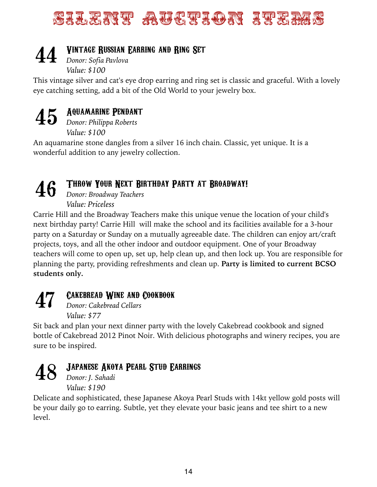# SILENT AUCHOR ITET

### Vintage Russian Earring and Ring Set **44**

*Donor: Sofia Pavlova Value: \$100* 

This vintage silver and cat's eye drop earring and ring set is classic and graceful. With a lovely eye catching setting, add a bit of the Old World to your jewelry box.



### Aquamarine Pendant

*Donor: Philippa Roberts Value: \$100* 

An aquamarine stone dangles from a silver 16 inch chain. Classic, yet unique. It is a wonderful addition to any jewelry collection.

# **46**

### THROW YOUR NEXT BIRTHDAY PARTY AT BROADWAY!

*Donor: Broadway Teachers Value: Priceless* 

Carrie Hill and the Broadway Teachers make this unique venue the location of your child's next birthday party! Carrie Hill will make the school and its facilities available for a 3-hour party on a Saturday or Sunday on a mutually agreeable date. The children can enjoy art/craft projects, toys, and all the other indoor and outdoor equipment. One of your Broadway teachers will come to open up, set up, help clean up, and then lock up. You are responsible for planning the party, providing refreshments and clean up. **Party is limited to current BCSO students only.**

# **47**

### Cakebread Wine and Cookbook

*Donor: Cakebread Cellars Value: \$77* 

Sit back and plan your next dinner party with the lovely Cakebread cookbook and signed bottle of Cakebread 2012 Pinot Noir. With delicious photographs and winery recipes, you are sure to be inspired.



### Japanese Akoya Pearl Stud Earrings

*Donor: J. Sahadi Value: \$190*

Delicate and sophisticated, these Japanese Akoya Pearl Studs with 14kt yellow gold posts will be your daily go to earring. Subtle, yet they elevate your basic jeans and tee shirt to a new level.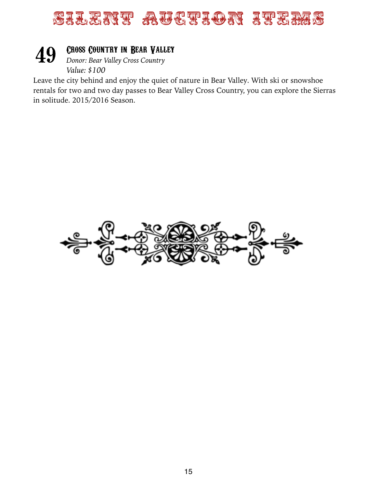

#### Cross Country in Bear Valley **49**

*Donor: Bear Valley Cross Country Value: \$100*

Leave the city behind and enjoy the quiet of nature in Bear Valley. With ski or snowshoe rentals for two and two day passes to Bear Valley Cross Country, you can explore the Sierras in solitude. 2015/2016 Season.

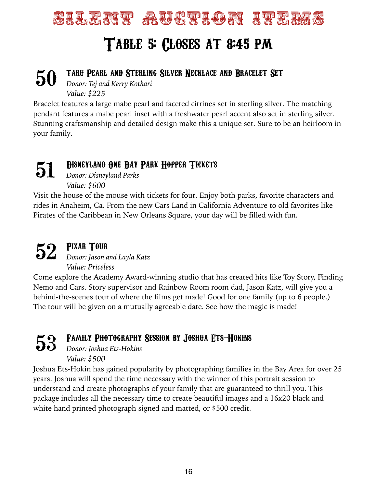

#### taru Pearl and Sterling Silver Necklace and Bracelet Set *Donor: Tej and Kerry Kothari*  **50**

*Value: \$225*

Bracelet features a large mabe pearl and faceted citrines set in sterling silver. The matching pendant features a mabe pearl inset with a freshwater pearl accent also set in sterling silver. Stunning craftsmanship and detailed design make this a unique set. Sure to be an heirloom in your family.

#### Disneyland One Day Park Hopper Tickets **51**

*Donor: Disneyland Parks Value: \$600* 

Visit the house of the mouse with tickets for four. Enjoy both parks, favorite characters and rides in Anaheim, Ca. From the new Cars Land in California Adventure to old favorites like Pirates of the Caribbean in New Orleans Square, your day will be filled with fun.

### Pixar Tour *Donor: Jason and Layla Katz*  **52**  *Value: Priceless*

Come explore the Academy Award-winning studio that has created hits like Toy Story, Finding Nemo and Cars. Story supervisor and Rainbow Room room dad, Jason Katz, will give you a behind-the-scenes tour of where the films get made! Good for one family (up to 6 people.) The tour will be given on a mutually agreeable date. See how the magic is made!

Family Photography Session by Joshua Ets-Hokins **53** 

*Donor: Joshua Ets-Hokins Value: \$500* 

Joshua Ets-Hokin has gained popularity by photographing families in the Bay Area for over 25 years. Joshua will spend the time necessary with the winner of this portrait session to understand and create photographs of your family that are guaranteed to thrill you. This package includes all the necessary time to create beautiful images and a 16x20 black and white hand printed photograph signed and matted, or \$500 credit.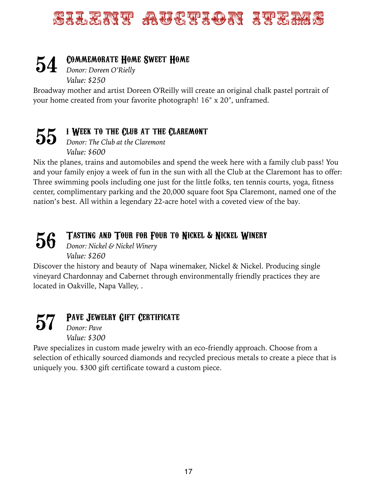# Silent Auction In Item

#### Commemorate Home Sweet Home **54**

*Donor: Doreen O'Rielly Value: \$250* 

Broadway mother and artist Doreen O'Reilly will create an original chalk pastel portrait of your home created from your favorite photograph! 16" x 20", unframed.

#### 1 Week to the Club at the Claremont **55**

*Donor: The Club at the Claremont Value: \$600* 

Nix the planes, trains and automobiles and spend the week here with a family club pass! You and your family enjoy a week of fun in the sun with all the Club at the Claremont has to offer: Three swimming pools including one just for the little folks, ten tennis courts, yoga, fitness center, complimentary parking and the 20,000 square foot Spa Claremont, named one of the nation's best. All within a legendary 22-acre hotel with a coveted view of the bay.

#### Tasting and Tour for Four to Nickel & Nickel Winery **56**

*Donor: Nickel & Nickel Winery Value: \$260*

Discover the history and beauty of Napa winemaker, Nickel & Nickel. Producing single vineyard Chardonnay and Cabernet through environmentally friendly practices they are located in Oakville, Napa Valley, .

PAVE JEWELRY GIFT CERTIFICATE *Donor: Pave Value: \$300*  **57** 

Pave specializes in custom made jewelry with an eco-friendly approach. Choose from a selection of ethically sourced diamonds and recycled precious metals to create a piece that is uniquely you. \$300 gift certificate toward a custom piece.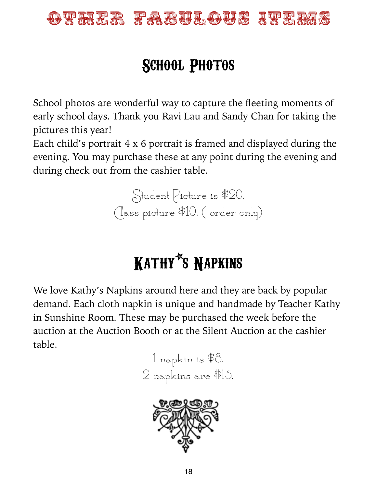

# SCHOOL PHOTOS

School photos are wonderful way to capture the fleeting moments of early school days. Thank you Ravi Lau and Sandy Chan for taking the pictures this year!

Each child's portrait 4 x 6 portrait is framed and displayed during the evening. You may purchase these at any point during the evening and during check out from the cashier table.

> Student Picture is \$20. Class picture \$10. ( order only)

# Kathy\*s Napkins

We love Kathy's Napkins around here and they are back by popular demand. Each cloth napkin is unique and handmade by Teacher Kathy in Sunshine Room. These may be purchased the week before the auction at the Auction Booth or at the Silent Auction at the cashier table.



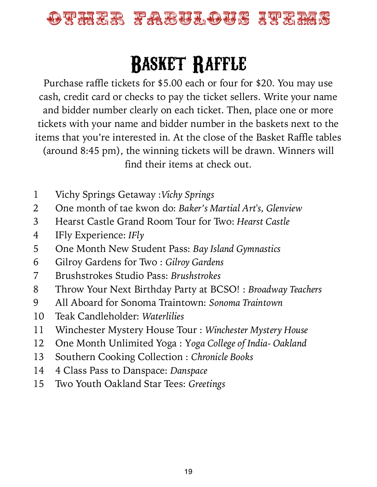

# Basket Raffle

Purchase raffle tickets for \$5.00 each or four for \$20. You may use cash, credit card or checks to pay the ticket sellers. Write your name and bidder number clearly on each ticket. Then, place one or more tickets with your name and bidder number in the baskets next to the items that you're interested in. At the close of the Basket Raffle tables (around 8:45 pm), the winning tickets will be drawn. Winners will find their items at check out.

- 1 Vichy Springs Getaway :*Vichy Springs*
- 2 One month of tae kwon do: *Baker's Martial Art's, Glenview*
- 3 Hearst Castle Grand Room Tour for Two: *Hearst Castle*
- 4 IFly Experience: *IFly*
- 5 One Month New Student Pass: *Bay Island Gymnastics*
- 6 Gilroy Gardens for Two : *Gilroy Gardens*
- 7 Brushstrokes Studio Pass: *Brushstrokes*
- 8 Throw Your Next Birthday Party at BCSO! : *Broadway Teachers*
- 9 All Aboard for Sonoma Traintown: *Sonoma Traintown*
- 10 Teak Candleholder: *Waterlilies*
- 11 Winchester Mystery House Tour : *Winchester Mystery House*
- 12 One Month Unlimited Yoga : Y*oga College of India- Oakland*
- 13 Southern Cooking Collection : *Chronicle Books*
- 14 4 Class Pass to Danspace: *Danspace*
- 15 Two Youth Oakland Star Tees: *Greetings*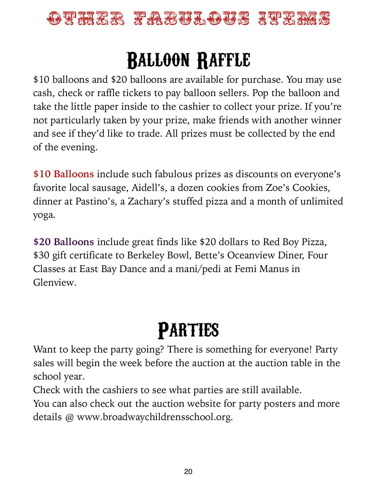

# Balloon Raffle

\$10 balloons and \$20 balloons are available for purchase. You may use cash, check or raffle tickets to pay balloon sellers. Pop the balloon and take the little paper inside to the cashier to collect your prize. If you're not particularly taken by your prize, make friends with another winner and see if they'd like to trade. All prizes must be collected by the end of the evening.

**\$10 Balloons** include such fabulous prizes as discounts on everyone's favorite local sausage, Aidell's, a dozen cookies from Zoe's Cookies, dinner at Pastino's, a Zachary's stuffed pizza and a month of unlimited yoga.

**\$20 Balloons** include great finds like \$20 dollars to Red Boy Pizza, \$30 gift certificate to Berkeley Bowl, Bette's Oceanview Diner, Four Classes at East Bay Dance and a mani/pedi at Femi Manus in Glenview.

# **PARTIES**

Want to keep the party going? There is something for everyone! Party sales will begin the week before the auction at the auction table in the school year.

Check with the cashiers to see what parties are still available.

You can also check out the auction website for party posters and more details @ www.broadwaychildrensschool.org.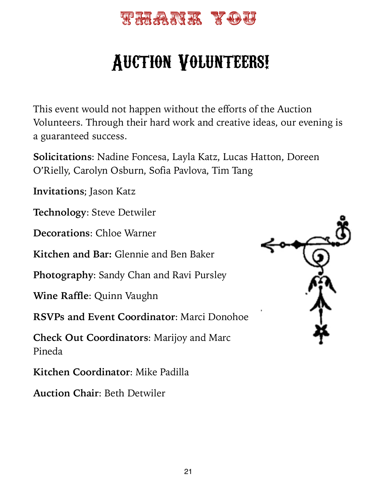

# Auction Volunteers!

This event would not happen without the efforts of the Auction Volunteers. Through their hard work and creative ideas, our evening is a guaranteed success.

**Solicitations**: Nadine Foncesa, Layla Katz, Lucas Hatton, Doreen O'Rielly, Carolyn Osburn, Sofia Pavlova, Tim Tang

**Invitations**; Jason Katz

**Technology**: Steve Detwiler

**Decorations**: Chloe Warner

**Kitchen and Bar:** Glennie and Ben Baker

**Photography**: Sandy Chan and Ravi Pursley

**Wine Raffle**: Quinn Vaughn

**RSVPs and Event Coordinator**: Marci Donohoe

**Check Out Coordinators**: Marijoy and Marc Pineda

**Kitchen Coordinator**: Mike Padilla

**Auction Chair**: Beth Detwiler

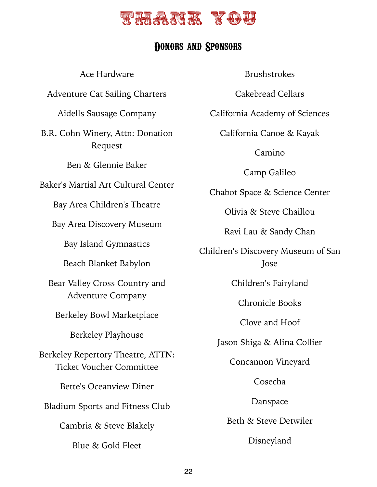

### Donors and Sponsors

Ace Hardware Adventure Cat Sailing Charters Aidells Sausage Company B.R. Cohn Winery, Attn: Donation Request Ben & Glennie Baker Baker's Martial Art Cultural Center Bay Area Children's Theatre Bay Area Discovery Museum Bay Island Gymnastics Beach Blanket Babylon Bear Valley Cross Country and Adventure Company Berkeley Bowl Marketplace Berkeley Playhouse Berkeley Repertory Theatre, ATTN: Ticket Voucher Committee Bette's Oceanview Diner Bladium Sports and Fitness Club Cambria & Steve Blakely Blue & Gold Fleet

Brushstrokes

Cakebread Cellars

California Academy of Sciences

California Canoe & Kayak

Camino

Camp Galileo

Chabot Space & Science Center

Olivia & Steve Chaillou

Ravi Lau & Sandy Chan

Children's Discovery Museum of San Jose

Children's Fairyland

Chronicle Books

Clove and Hoof

Jason Shiga & Alina Collier

Concannon Vineyard

Cosecha

Danspace

Beth & Steve Detwiler

Disneyland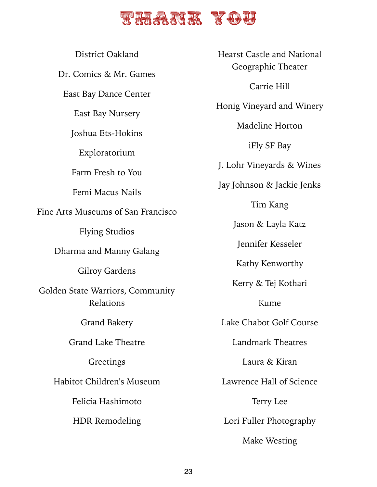### **Thank** You

District Oakland Dr. Comics & Mr. Games East Bay Dance Center East Bay Nursery Joshua Ets-Hokins Exploratorium Farm Fresh to You Femi Macus Nails Fine Arts Museums of San Francisco Flying Studios Dharma and Manny Galang Gilroy Gardens Golden State Warriors, Community Relations Grand Bakery Grand Lake Theatre Greetings Habitot Children's Museum Felicia Hashimoto HDR Remodeling

Hearst Castle and National Geographic Theater Carrie Hill Honig Vineyard and Winery Madeline Horton iFly SF Bay J. Lohr Vineyards & Wines Jay Johnson & Jackie Jenks Tim Kang Jason & Layla Katz Jennifer Kesseler Kathy Kenworthy Kerry & Tej Kothari Kume Lake Chabot Golf Course Landmark Theatres Laura & Kiran Lawrence Hall of Science Terry Lee Lori Fuller Photography Make Westing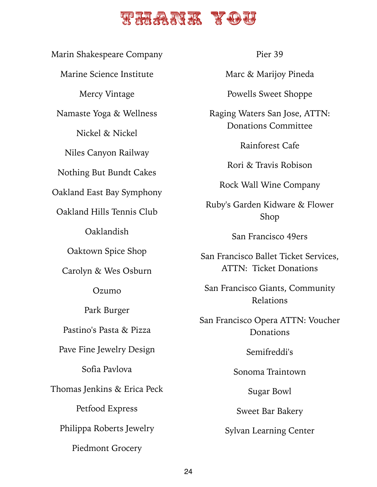### The ANK YOU

Marin Shakespeare Company Marine Science Institute Mercy Vintage Namaste Yoga & Wellness Nickel & Nickel Niles Canyon Railway Nothing But Bundt Cakes Oakland East Bay Symphony Oakland Hills Tennis Club Oaklandish Oaktown Spice Shop Carolyn & Wes Osburn Ozumo Park Burger Pastino's Pasta & Pizza Pave Fine Jewelry Design Sofia Pavlova Thomas Jenkins & Erica Peck Petfood Express Philippa Roberts Jewelry Piedmont Grocery

Pier 39

Marc & Marijoy Pineda

Powells Sweet Shoppe

Raging Waters San Jose, ATTN: Donations Committee

Rainforest Cafe

Rori & Travis Robison

Rock Wall Wine Company

Ruby's Garden Kidware & Flower Shop

San Francisco 49ers

San Francisco Ballet Ticket Services, ATTN: Ticket Donations

San Francisco Giants, Community Relations

San Francisco Opera ATTN: Voucher **Donations** 

Semifreddi's

Sonoma Traintown

Sugar Bowl

Sweet Bar Bakery

Sylvan Learning Center